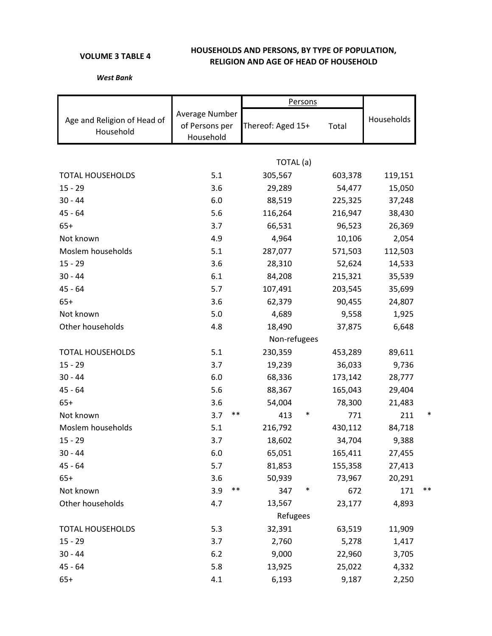## **VOLUME 3 TABLE 4**

## **HOUSEHOLDS AND PERSONS, BY TYPE OF POPULATION, RELIGION AND AGE OF HEAD OF HOUSEHOLD**

## *West Bank*

|                                          |                                               | Persons           |               |            |  |  |  |  |  |  |
|------------------------------------------|-----------------------------------------------|-------------------|---------------|------------|--|--|--|--|--|--|
| Age and Religion of Head of<br>Household | Average Number<br>of Persons per<br>Household | Thereof: Aged 15+ | Total         | Households |  |  |  |  |  |  |
|                                          |                                               |                   |               |            |  |  |  |  |  |  |
|                                          |                                               | TOTAL (a)         |               |            |  |  |  |  |  |  |
| <b>TOTAL HOUSEHOLDS</b>                  | 5.1                                           | 305,567           | 603,378       | 119,151    |  |  |  |  |  |  |
| $15 - 29$                                | 3.6                                           | 29,289            | 54,477        | 15,050     |  |  |  |  |  |  |
| $30 - 44$                                | 6.0                                           | 88,519            | 225,325       | 37,248     |  |  |  |  |  |  |
| $45 - 64$                                | 5.6                                           | 116,264           | 216,947       | 38,430     |  |  |  |  |  |  |
| $65+$                                    | 3.7                                           | 66,531            | 96,523        | 26,369     |  |  |  |  |  |  |
| Not known                                | 4.9                                           | 4,964             | 10,106        | 2,054      |  |  |  |  |  |  |
| Moslem households                        | 5.1                                           | 287,077           | 571,503       | 112,503    |  |  |  |  |  |  |
| $15 - 29$                                | 3.6                                           | 28,310            | 52,624        | 14,533     |  |  |  |  |  |  |
| $30 - 44$                                | 6.1                                           | 84,208            | 215,321       | 35,539     |  |  |  |  |  |  |
| $45 - 64$                                | 5.7                                           | 107,491           | 203,545       | 35,699     |  |  |  |  |  |  |
| $65+$                                    | 3.6                                           | 62,379            | 90,455        | 24,807     |  |  |  |  |  |  |
| Not known                                | 5.0                                           | 4,689             | 9,558         | 1,925      |  |  |  |  |  |  |
| Other households                         | 4.8                                           | 18,490            | 37,875        | 6,648      |  |  |  |  |  |  |
|                                          |                                               | Non-refugees      |               |            |  |  |  |  |  |  |
| <b>TOTAL HOUSEHOLDS</b>                  | 5.1                                           | 230,359           | 453,289       | 89,611     |  |  |  |  |  |  |
| $15 - 29$                                | 3.7                                           | 19,239            | 36,033        | 9,736      |  |  |  |  |  |  |
| $30 - 44$                                | 6.0                                           | 68,336            | 173,142       | 28,777     |  |  |  |  |  |  |
| $45 - 64$                                | 5.6                                           | 88,367            | 165,043       | 29,404     |  |  |  |  |  |  |
| $65+$                                    | 3.6                                           | 54,004            | 78,300        | 21,483     |  |  |  |  |  |  |
| Not known                                | $***$<br>3.7                                  | 413               | ∗<br>771      | 211        |  |  |  |  |  |  |
| Moslem households                        | 5.1                                           | 216,792           | 430,112       | 84,718     |  |  |  |  |  |  |
| $15 - 29$                                | 3.7                                           | 18,602            | 34,704        | 9,388      |  |  |  |  |  |  |
| $30 - 44$                                | 6.0                                           | 65,051            | 165,411       | 27,455     |  |  |  |  |  |  |
| $45 - 64$                                | 5.7                                           | 81,853            | 155,358       | 27,413     |  |  |  |  |  |  |
| $65+$                                    | 3.6                                           | 50,939            | 73,967        | 20,291     |  |  |  |  |  |  |
| Not known                                | $***$<br>3.9                                  | 347               | $\ast$<br>672 | 171<br>**  |  |  |  |  |  |  |
| Other households                         | 4.7                                           | 13,567            | 23,177        | 4,893      |  |  |  |  |  |  |
|                                          |                                               | Refugees          |               |            |  |  |  |  |  |  |
| <b>TOTAL HOUSEHOLDS</b>                  | 5.3                                           | 32,391            | 63,519        | 11,909     |  |  |  |  |  |  |
| $15 - 29$                                | 3.7                                           | 2,760             | 5,278         | 1,417      |  |  |  |  |  |  |
| $30 - 44$                                | 6.2                                           | 9,000             | 22,960        | 3,705      |  |  |  |  |  |  |
| $45 - 64$                                | 5.8                                           | 13,925            | 25,022        | 4,332      |  |  |  |  |  |  |
| $65+$                                    | 4.1                                           | 6,193             | 9,187         | 2,250      |  |  |  |  |  |  |